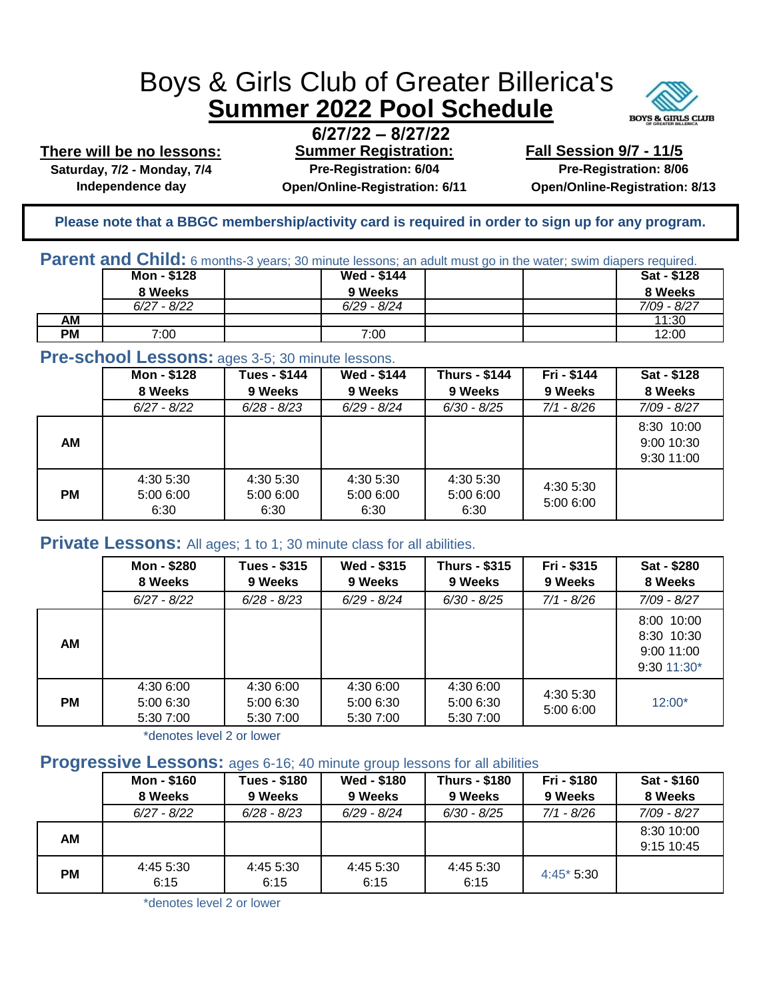# Boys & Girls Club of Greater Billerica's **Summer 2022 Pool Schedule**



**There will be no lessons:**

**Independence day Open/Online-Registration: 6/11 Open/Online-Registration: 8/13**

**6/27/22 – 8/27/22 Summer Registration: Saturday, 7/2 - Monday, 7/4 Pre-Registration: 6/04**

**Fall Session 9/7 - 11/5 Pre-Registration: 8/06**

**Please note that a BBGC membership/activity card is required in order to sign up for any program.** 

| <b>Parent and Child:</b> 6 months-3 years; 30 minute lessons; an adult must go in the water; swim diapers required. |             |  |                    |  |  |                    |
|---------------------------------------------------------------------------------------------------------------------|-------------|--|--------------------|--|--|--------------------|
|                                                                                                                     | Mon - \$128 |  | <b>Wed - \$144</b> |  |  | <b>Sat - \$128</b> |

|                          | ----- ---     | -------       |  | ----<br>----  |
|--------------------------|---------------|---------------|--|---------------|
|                          | 8 Weeks       | 9 Weeks       |  | 8 Weeks       |
|                          | $6/27 - 8/22$ | $6/29 - 8/24$ |  | $7/09 - 8/27$ |
| $\overline{\mathsf{AM}}$ |               |               |  | 11:30         |
| <b>PM</b>                | 7:00          | 7:00          |  | 12:00         |

## **Pre-school Lessons:** ages 3-5; 30 minute lessons.

|           | Mon - \$128<br>8 Weeks         | <b>Tues - \$144</b><br>9 Weeks | Wed - \$144<br>9 Weeks         | <b>Thurs - \$144</b><br>9 Weeks | Fri - \$144<br>9 Weeks | Sat - \$128<br>8 Weeks                 |
|-----------|--------------------------------|--------------------------------|--------------------------------|---------------------------------|------------------------|----------------------------------------|
|           | $6/27 - 8/22$                  | $6/28 - 8/23$                  | $6/29 - 8/24$                  | $6/30 - 8/25$                   | 7/1 - 8/26             | 7/09 - 8/27                            |
| AM        |                                |                                |                                |                                 |                        | 8:30 10:00<br>9:00 10:30<br>9:30 11:00 |
| <b>PM</b> | 4:30 5:30<br>5:00 6:00<br>6:30 | 4:30 5:30<br>5:00 6:00<br>6:30 | 4:30 5:30<br>5:00 6:00<br>6:30 | 4:30 5:30<br>5:00 6:00<br>6:30  | 4:30 5:30<br>5:00 6:00 |                                        |

#### **Private Lessons:** All ages; 1 to 1; 30 minute class for all abilities.

|           | Mon - \$280<br>8 Weeks              | <b>Tues - \$315</b><br>9 Weeks      | Wed - \$315<br>9 Weeks              | <b>Thurs - \$315</b><br>9 Weeks     | Fri - \$315<br>9 Weeks | Sat - \$280<br>8 Weeks                                |
|-----------|-------------------------------------|-------------------------------------|-------------------------------------|-------------------------------------|------------------------|-------------------------------------------------------|
|           | $6/27 - 8/22$                       | $6/28 - 8/23$                       | $6/29 - 8/24$                       | $6/30 - 8/25$                       | 7/1 - 8/26             | 7/09 - 8/27                                           |
| AM        |                                     |                                     |                                     |                                     |                        | 8:00 10:00<br>8:30 10:30<br>9:00 11:00<br>9:30 11:30* |
| <b>PM</b> | 4:30 6:00<br>5:00 6:30<br>5:30 7:00 | 4:30 6:00<br>5:00 6:30<br>5:30 7:00 | 4:30 6:00<br>5:00 6:30<br>5:30 7:00 | 4:30 6:00<br>5:00 6:30<br>5:30 7:00 | 4:30 5:30<br>5:00 6:00 | $12:00*$                                              |

\*denotes level 2 or lower

# **Progressive Lessons:** ages 6-16; 40 minute group lessons for all abilities

| $\sim$ | Mon - \$160<br>8 Weeks | <b>Tues - \$180</b><br>9 Weeks | Wed - \$180<br>9 Weeks | <b>Thurs - \$180</b><br>9 Weeks | Fri - \$180<br>9 Weeks | Sat - \$160<br>8 Weeks   |
|--------|------------------------|--------------------------------|------------------------|---------------------------------|------------------------|--------------------------|
|        | $6/27 - 8/22$          | $6/28 - 8/23$                  | $6/29 - 8/24$          | $6/30 - 8/25$                   | $7/1 - 8/26$           | 7/09 - 8/27              |
| АM     |                        |                                |                        |                                 |                        | 8:30 10:00<br>9:15 10:45 |
| PМ     | 4:45 5:30<br>6:15      | 4:45 5:30<br>6:15              | 4:45 5:30<br>6:15      | 4:45 5:30<br>6:15               | $4:45*5:30$            |                          |

\*denotes level 2 or lower